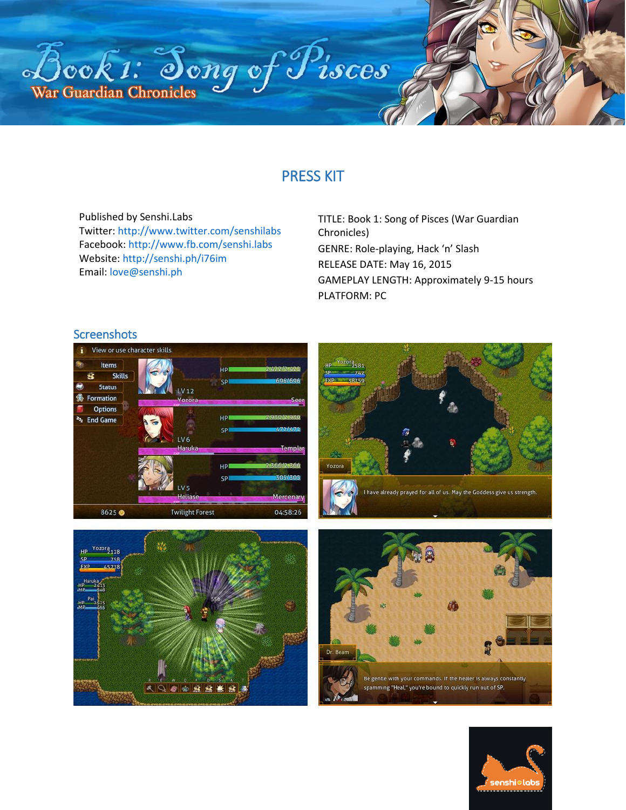

# PRESS KIT

Published by Senshi.Labs Twitter:<http://www.twitter.com/senshilabs> Facebook[: http://www.fb.com/senshi.labs](http://www.fb.com/senshi.labs) Website: <http://senshi.ph/i76im> Email: [love@senshi.ph](mailto:love@senshi.ph)

TITLE: Book 1: Song of Pisces (War Guardian Chronicles) GENRE: Role-playing, Hack 'n' Slash RELEASE DATE: May 16, 2015 GAMEPLAY LENGTH: Approximately 9-15 hours PLATFORM: PC

#### Screenshots